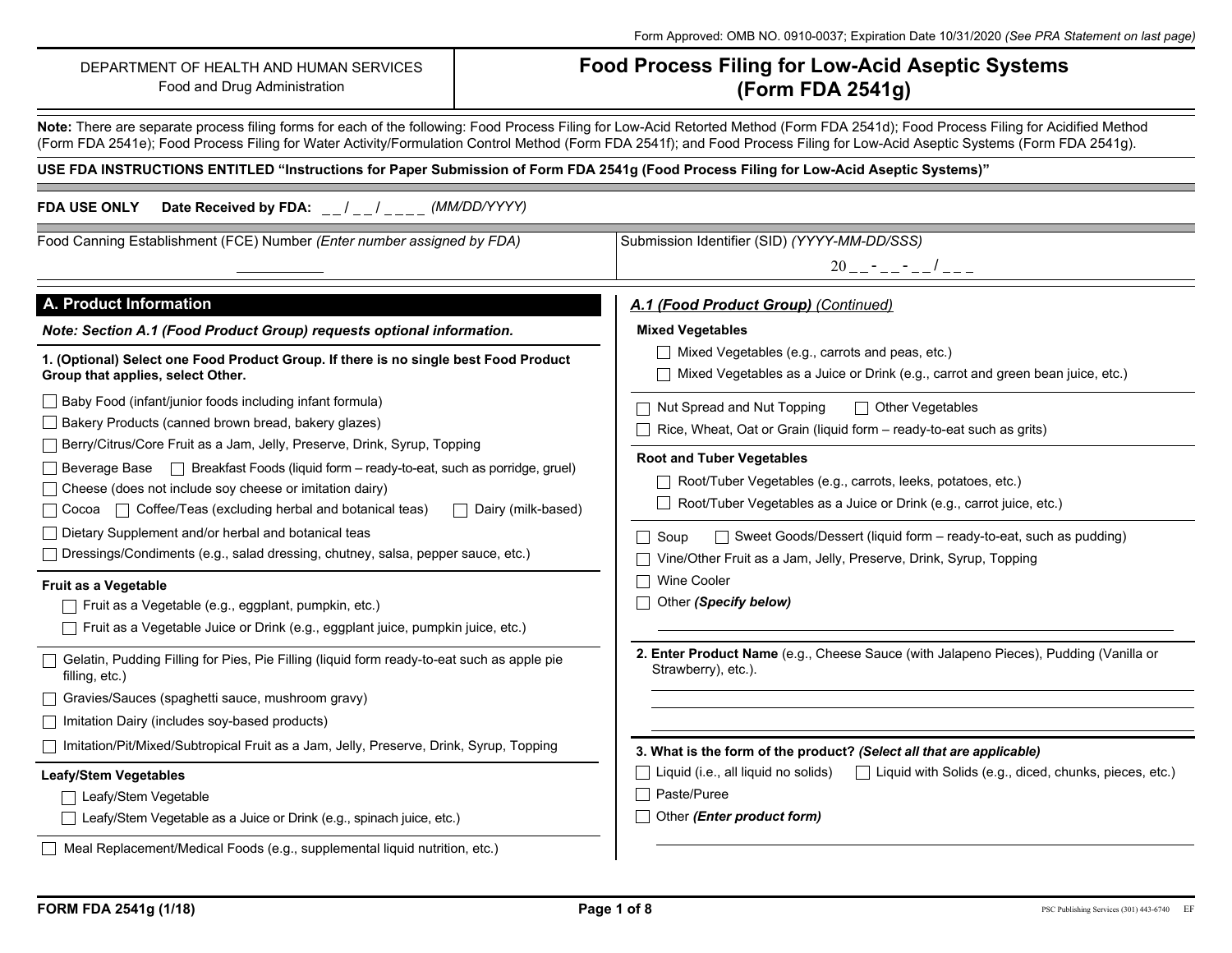| DEPARTMENT OF HEALTH AND HUMAN SERVICES<br>Food and Drug Administration                                                                                                                                                                                                                                                                                                                                                        | <b>Food Process Filing for Low-Acid Aseptic Systems</b><br>(Form FDA 2541g)                                                                                                                                                                                                                                                                                          |  |  |  |  |  |
|--------------------------------------------------------------------------------------------------------------------------------------------------------------------------------------------------------------------------------------------------------------------------------------------------------------------------------------------------------------------------------------------------------------------------------|----------------------------------------------------------------------------------------------------------------------------------------------------------------------------------------------------------------------------------------------------------------------------------------------------------------------------------------------------------------------|--|--|--|--|--|
|                                                                                                                                                                                                                                                                                                                                                                                                                                | Note: There are separate process filing forms for each of the following: Food Process Filing for Low-Acid Retorted Method (Form FDA 2541d); Food Process Filing for Acidified Method<br>(Form FDA 2541e); Food Process Filing for Water Activity/Formulation Control Method (Form FDA 2541f); and Food Process Filing for Low-Acid Aseptic Systems (Form FDA 2541g). |  |  |  |  |  |
|                                                                                                                                                                                                                                                                                                                                                                                                                                | USE FDA INSTRUCTIONS ENTITLED "Instructions for Paper Submission of Form FDA 2541g (Food Process Filing for Low-Acid Aseptic Systems)"                                                                                                                                                                                                                               |  |  |  |  |  |
| Date Received by FDA: __/__/___ (MM/DD/YYYY)<br>FDA USE ONLY                                                                                                                                                                                                                                                                                                                                                                   |                                                                                                                                                                                                                                                                                                                                                                      |  |  |  |  |  |
| Food Canning Establishment (FCE) Number (Enter number assigned by FDA)                                                                                                                                                                                                                                                                                                                                                         | Submission Identifier (SID) (YYYY-MM-DD/SSS)<br>$20$ _ - - - - - - $/$ - - -                                                                                                                                                                                                                                                                                         |  |  |  |  |  |
| A. Product Information                                                                                                                                                                                                                                                                                                                                                                                                         | A.1 (Food Product Group) (Continued)                                                                                                                                                                                                                                                                                                                                 |  |  |  |  |  |
| Note: Section A.1 (Food Product Group) requests optional information.                                                                                                                                                                                                                                                                                                                                                          | <b>Mixed Vegetables</b>                                                                                                                                                                                                                                                                                                                                              |  |  |  |  |  |
| 1. (Optional) Select one Food Product Group. If there is no single best Food Product<br>Group that applies, select Other.                                                                                                                                                                                                                                                                                                      | $\Box$ Mixed Vegetables (e.g., carrots and peas, etc.)<br>Mixed Vegetables as a Juice or Drink (e.g., carrot and green bean juice, etc.)                                                                                                                                                                                                                             |  |  |  |  |  |
| □ Baby Food (infant/junior foods including infant formula)<br>  Bakery Products (canned brown bread, bakery glazes)<br>□ Berry/Citrus/Core Fruit as a Jam, Jelly, Preserve, Drink, Syrup, Topping<br>Breakfast Foods (liquid form - ready-to-eat, such as porridge, gruel)<br>  Beverage Base<br>$\Box$ Cheese (does not include soy cheese or imitation dairy)<br>□ Cocoa □ Coffee/Teas (excluding herbal and botanical teas) | $\Box$ Other Vegetables<br>$\Box$ Nut Spread and Nut Topping<br>Rice, Wheat, Oat or Grain (liquid form - ready-to-eat such as grits)                                                                                                                                                                                                                                 |  |  |  |  |  |
|                                                                                                                                                                                                                                                                                                                                                                                                                                | <b>Root and Tuber Vegetables</b><br>Root/Tuber Vegetables (e.g., carrots, leeks, potatoes, etc.)<br>Root/Tuber Vegetables as a Juice or Drink (e.g., carrot juice, etc.)<br>$\Box$ Dairy (milk-based)                                                                                                                                                                |  |  |  |  |  |
| Dietary Supplement and/or herbal and botanical teas<br>□ Dressings/Condiments (e.g., salad dressing, chutney, salsa, pepper sauce, etc.)                                                                                                                                                                                                                                                                                       | $\Box$ Soup<br>$\Box$ Sweet Goods/Dessert (liquid form – ready-to-eat, such as pudding)<br>Vine/Other Fruit as a Jam, Jelly, Preserve, Drink, Syrup, Topping                                                                                                                                                                                                         |  |  |  |  |  |
| Fruit as a Vegetable<br>Fruit as a Vegetable (e.g., eggplant, pumpkin, etc.)<br>□ Fruit as a Vegetable Juice or Drink (e.g., eggplant juice, pumpkin juice, etc.)                                                                                                                                                                                                                                                              | $\Box$ Wine Cooler<br>Other (Specify below)                                                                                                                                                                                                                                                                                                                          |  |  |  |  |  |
| Gelatin, Pudding Filling for Pies, Pie Filling (liquid form ready-to-eat such as apple pie<br>filling, etc.)                                                                                                                                                                                                                                                                                                                   | 2. Enter Product Name (e.g., Cheese Sauce (with Jalapeno Pieces), Pudding (Vanilla or<br>Strawberry), etc.).                                                                                                                                                                                                                                                         |  |  |  |  |  |
| Gravies/Sauces (spaghetti sauce, mushroom gravy)                                                                                                                                                                                                                                                                                                                                                                               |                                                                                                                                                                                                                                                                                                                                                                      |  |  |  |  |  |
| $\Box$ Imitation Dairy (includes soy-based products)                                                                                                                                                                                                                                                                                                                                                                           |                                                                                                                                                                                                                                                                                                                                                                      |  |  |  |  |  |
| □ Imitation/Pit/Mixed/Subtropical Fruit as a Jam, Jelly, Preserve, Drink, Syrup, Topping                                                                                                                                                                                                                                                                                                                                       | 3. What is the form of the product? (Select all that are applicable)                                                                                                                                                                                                                                                                                                 |  |  |  |  |  |
| <b>Leafy/Stem Vegetables</b>                                                                                                                                                                                                                                                                                                                                                                                                   | Liquid (i.e., all liquid no solids)<br>□ Liquid with Solids (e.g., diced, chunks, pieces, etc.)                                                                                                                                                                                                                                                                      |  |  |  |  |  |
| □ Leafy/Stem Vegetable                                                                                                                                                                                                                                                                                                                                                                                                         | Paste/Puree                                                                                                                                                                                                                                                                                                                                                          |  |  |  |  |  |
| □ Leafy/Stem Vegetable as a Juice or Drink (e.g., spinach juice, etc.)                                                                                                                                                                                                                                                                                                                                                         | Other (Enter product form)                                                                                                                                                                                                                                                                                                                                           |  |  |  |  |  |
| Meal Replacement/Medical Foods (e.g., supplemental liquid nutrition, etc.)                                                                                                                                                                                                                                                                                                                                                     |                                                                                                                                                                                                                                                                                                                                                                      |  |  |  |  |  |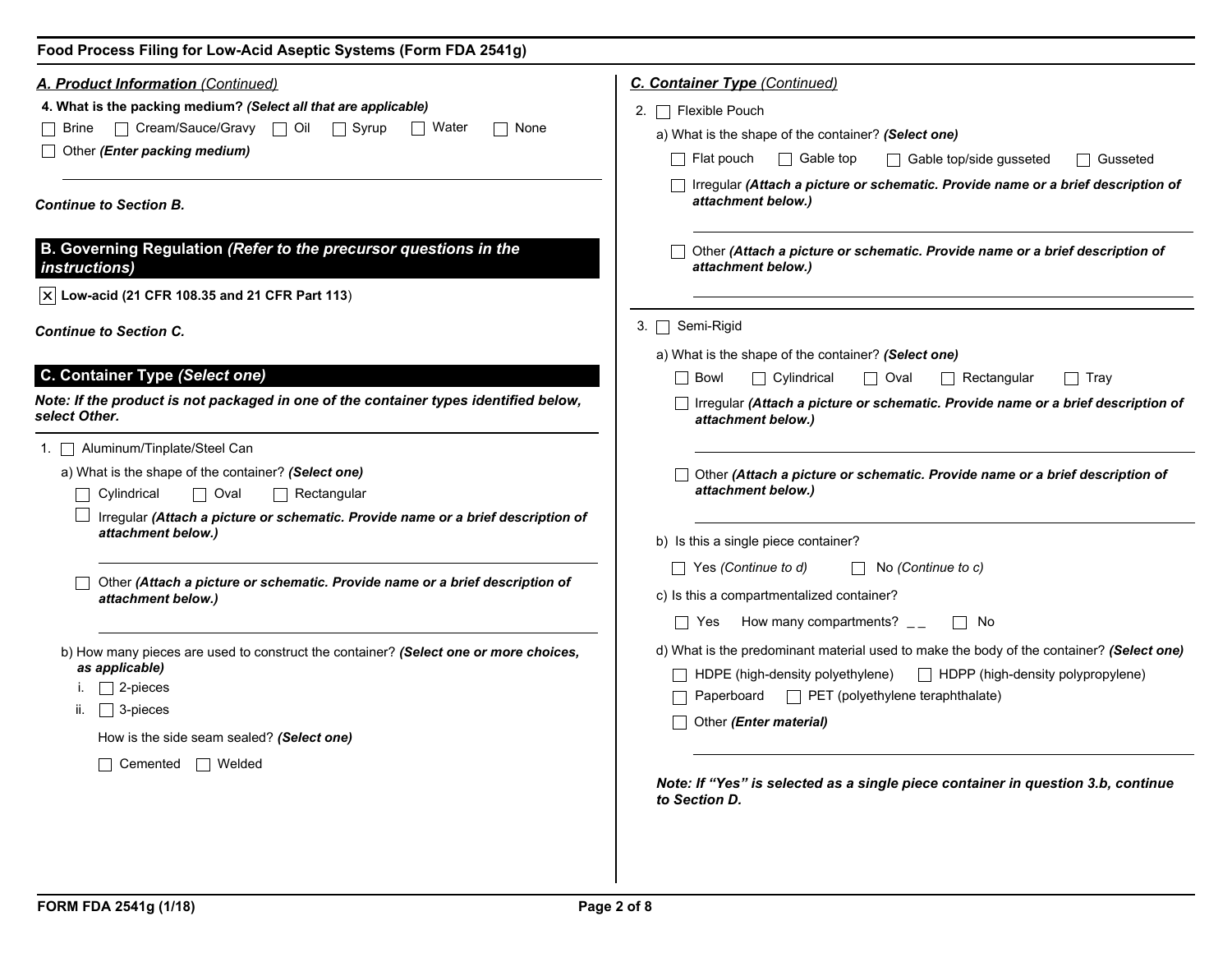| Food Process Filing for Low-Acid Aseptic Systems (Form FDA 2541g)                                                                                                                    |                                                                                                                                                                                                    |  |  |  |  |
|--------------------------------------------------------------------------------------------------------------------------------------------------------------------------------------|----------------------------------------------------------------------------------------------------------------------------------------------------------------------------------------------------|--|--|--|--|
| <b>A. Product Information (Continued)</b>                                                                                                                                            | <b>C. Container Type (Continued)</b>                                                                                                                                                               |  |  |  |  |
| 4. What is the packing medium? (Select all that are applicable)                                                                                                                      | 2. $\Box$ Flexible Pouch                                                                                                                                                                           |  |  |  |  |
| □ Cream/Sauce/Gravy □ Oil □ Syrup<br>    Water<br>None<br>  Brine                                                                                                                    | a) What is the shape of the container? (Select one)                                                                                                                                                |  |  |  |  |
| $\Box$ Other (Enter packing medium)                                                                                                                                                  | $\Box$ Gable top<br>  Flat pouch<br>$\Box$ Gable top/side gusseted<br>□ Gusseted                                                                                                                   |  |  |  |  |
| <b>Continue to Section B.</b>                                                                                                                                                        | □ Irregular (Attach a picture or schematic. Provide name or a brief description of<br>attachment below.)                                                                                           |  |  |  |  |
| B. Governing Regulation (Refer to the precursor questions in the<br><i>instructions)</i>                                                                                             | Other (Attach a picture or schematic. Provide name or a brief description of<br>attachment below.)                                                                                                 |  |  |  |  |
| $ \mathbf{x} $ Low-acid (21 CFR 108.35 and 21 CFR Part 113)                                                                                                                          |                                                                                                                                                                                                    |  |  |  |  |
| <b>Continue to Section C.</b>                                                                                                                                                        | 3. $\Box$ Semi-Rigid                                                                                                                                                                               |  |  |  |  |
|                                                                                                                                                                                      | a) What is the shape of the container? (Select one)                                                                                                                                                |  |  |  |  |
| C. Container Type (Select one)                                                                                                                                                       | $\Box$ Cylindrical<br>$\Box$ Oval<br>l Bowl<br>$\Box$ Rectangular<br>$\Box$ Tray                                                                                                                   |  |  |  |  |
| Note: If the product is not packaged in one of the container types identified below,<br>select Other.                                                                                | □ Irregular (Attach a picture or schematic. Provide name or a brief description of<br>attachment below.)                                                                                           |  |  |  |  |
| 1. Aluminum/Tinplate/Steel Can                                                                                                                                                       |                                                                                                                                                                                                    |  |  |  |  |
| a) What is the shape of the container? (Select one)                                                                                                                                  | Other (Attach a picture or schematic. Provide name or a brief description of                                                                                                                       |  |  |  |  |
| $\Box$ Cylindrical<br>$\Box$ Oval<br>$\Box$ Rectangular                                                                                                                              | attachment below.)                                                                                                                                                                                 |  |  |  |  |
| Irregular (Attach a picture or schematic. Provide name or a brief description of<br>attachment below.)                                                                               | b) Is this a single piece container?                                                                                                                                                               |  |  |  |  |
|                                                                                                                                                                                      | Yes (Continue to d)<br>$\vert \ \vert$ No (Continue to c)                                                                                                                                          |  |  |  |  |
| Other (Attach a picture or schematic. Provide name or a brief description of<br>attachment below.)                                                                                   | c) Is this a compartmentalized container?                                                                                                                                                          |  |  |  |  |
|                                                                                                                                                                                      | How many compartments? $\mathcal{L}_{\mathcal{L}}$<br>$\Box$ No<br>$\Box$ Yes                                                                                                                      |  |  |  |  |
| b) How many pieces are used to construct the container? (Select one or more choices,<br>as applicable)<br>$\Box$ 2-pieces<br>□ 3-pieces<br>How is the side seam sealed? (Select one) | d) What is the predominant material used to make the body of the container? (Select one)<br>HDPE (high-density polyethylene)<br>$\Box$ HDPP (high-density polypropylene)<br>Other (Enter material) |  |  |  |  |
| $\Box$ Cemented $\Box$ Welded                                                                                                                                                        | Note: If "Yes" is selected as a single piece container in question 3.b, continue<br>to Section D.                                                                                                  |  |  |  |  |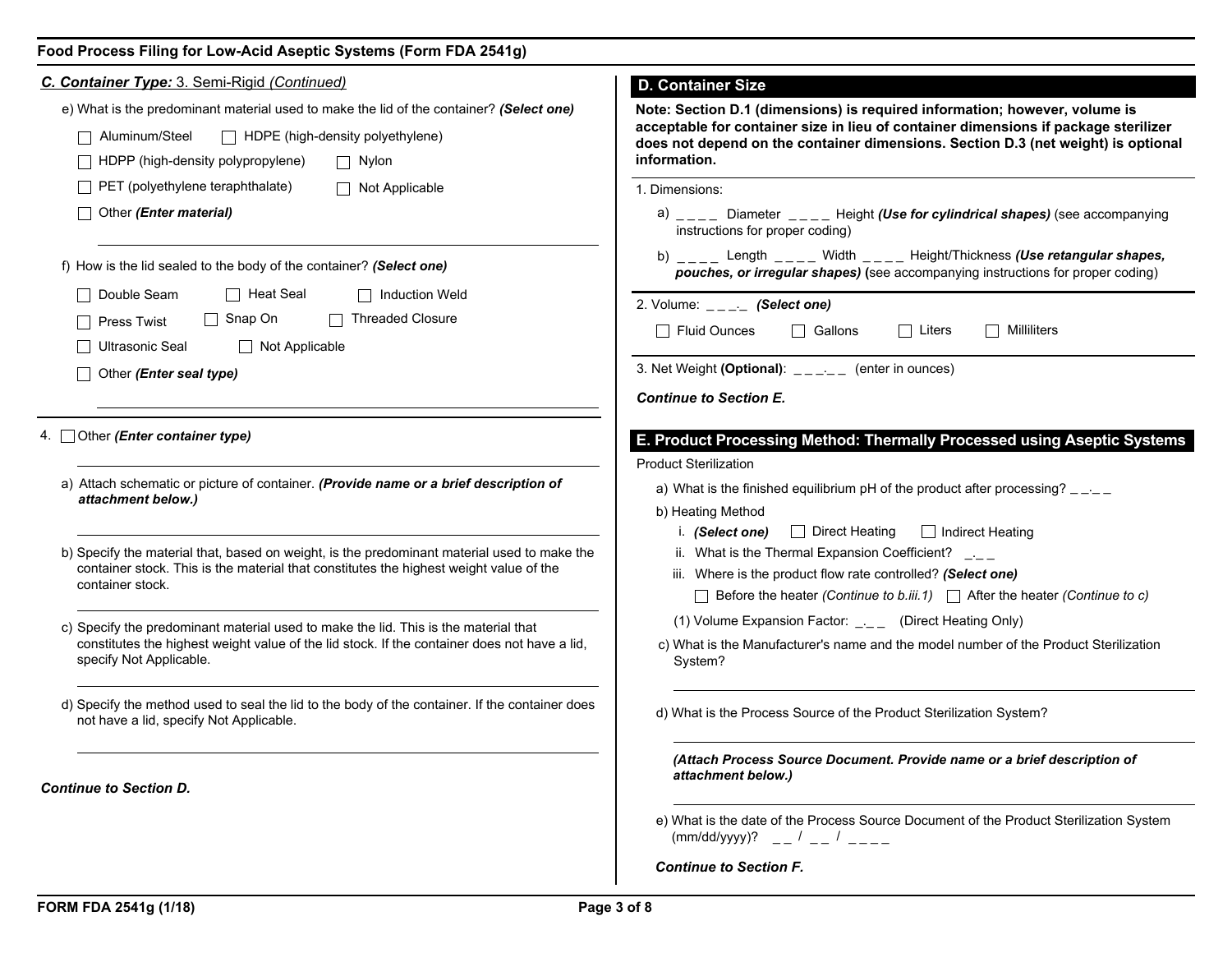| Food Process Filing for Low-Acid Aseptic Systems (Form FDA 2541g) |  |  |  |  |  |  |  |
|-------------------------------------------------------------------|--|--|--|--|--|--|--|
|-------------------------------------------------------------------|--|--|--|--|--|--|--|

| C. Container Type: 3. Semi-Rigid (Continued)                                                                                              | <b>D. Container Size</b>                                                                                                                                                           |  |  |  |  |
|-------------------------------------------------------------------------------------------------------------------------------------------|------------------------------------------------------------------------------------------------------------------------------------------------------------------------------------|--|--|--|--|
| e) What is the predominant material used to make the lid of the container? (Select one)                                                   | Note: Section D.1 (dimensions) is required information; however, volume is                                                                                                         |  |  |  |  |
| Aluminum/Steel<br>$\Box$ HDPE (high-density polyethylene)                                                                                 | acceptable for container size in lieu of container dimensions if package sterilizer<br>does not depend on the container dimensions. Section D.3 (net weight) is optional           |  |  |  |  |
| HDPP (high-density polypropylene)<br>$\Box$ Nylon                                                                                         | information.                                                                                                                                                                       |  |  |  |  |
| $\Box$ PET (polyethylene teraphthalate)<br>Not Applicable                                                                                 | 1. Dimensions:                                                                                                                                                                     |  |  |  |  |
| Other (Enter material)                                                                                                                    | a) $\mu_{\text{max}}$ Diameter $\mu_{\text{max}}$ Height (Use for cylindrical shapes) (see accompanying<br>instructions for proper coding)                                         |  |  |  |  |
| f) How is the lid sealed to the body of the container? (Select one)                                                                       | b) $\angle$ ___ Length $\angle$ ___ Width $\angle$ ___ Height/Thickness (Use retangular shapes,<br>pouches, or irregular shapes) (see accompanying instructions for proper coding) |  |  |  |  |
| Double Seam<br>$\Box$ Heat Seal<br>$\Box$ Induction Weld                                                                                  | 2. Volume: $\mathsf{L}_{\mathsf{L}=\mathsf{L}}$ (Select one)                                                                                                                       |  |  |  |  |
| □ Threaded Closure<br>$\Box$ Snap On<br><b>Press Twist</b>                                                                                | $\Box$ Fluid Ounces<br>□ Gallons<br>$\Box$ Liters<br>Milliliters                                                                                                                   |  |  |  |  |
| Ultrasonic Seal<br>$\Box$ Not Applicable                                                                                                  |                                                                                                                                                                                    |  |  |  |  |
| Other (Enter seal type)                                                                                                                   | 3. Net Weight (Optional): $\angle$ $\angle$ $\angle$ $\angle$ $\angle$ (enter in ounces)                                                                                           |  |  |  |  |
|                                                                                                                                           | <b>Continue to Section E.</b>                                                                                                                                                      |  |  |  |  |
| 4. Other (Enter container type)                                                                                                           | E. Product Processing Method: Thermally Processed using Aseptic Systems<br><b>Product Sterilization</b>                                                                            |  |  |  |  |
| a) Attach schematic or picture of container. (Provide name or a brief description of<br>attachment below.)                                | a) What is the finished equilibrium pH of the product after processing? $\frac{1}{2}$<br>b) Heating Method                                                                         |  |  |  |  |
| b) Specify the material that, based on weight, is the predominant material used to make the                                               | i. (Select one) $\Box$ Direct Heating<br>$\Box$ Indirect Heating<br>ii. What is the Thermal Expansion Coefficient? $\Box$                                                          |  |  |  |  |
| container stock. This is the material that constitutes the highest weight value of the                                                    | iii. Where is the product flow rate controlled? (Select one)                                                                                                                       |  |  |  |  |
| container stock.                                                                                                                          | $\Box$ Before the heater (Continue to b.iii.1) $\Box$ After the heater (Continue to c)                                                                                             |  |  |  |  |
| c) Specify the predominant material used to make the lid. This is the material that                                                       | (1) Volume Expansion Factor: $\frac{1}{n}$ (Direct Heating Only)                                                                                                                   |  |  |  |  |
| constitutes the highest weight value of the lid stock. If the container does not have a lid,<br>specify Not Applicable.                   | c) What is the Manufacturer's name and the model number of the Product Sterilization<br>System?                                                                                    |  |  |  |  |
| d) Specify the method used to seal the lid to the body of the container. If the container does<br>not have a lid, specify Not Applicable. | d) What is the Process Source of the Product Sterilization System?                                                                                                                 |  |  |  |  |
| <b>Continue to Section D.</b>                                                                                                             | (Attach Process Source Document. Provide name or a brief description of<br>attachment below.)                                                                                      |  |  |  |  |
|                                                                                                                                           | e) What is the date of the Process Source Document of the Product Sterilization System<br>$(mm/dd/yyyy)?$ __ / __ / __ /                                                           |  |  |  |  |
|                                                                                                                                           | <b>Continue to Section F.</b>                                                                                                                                                      |  |  |  |  |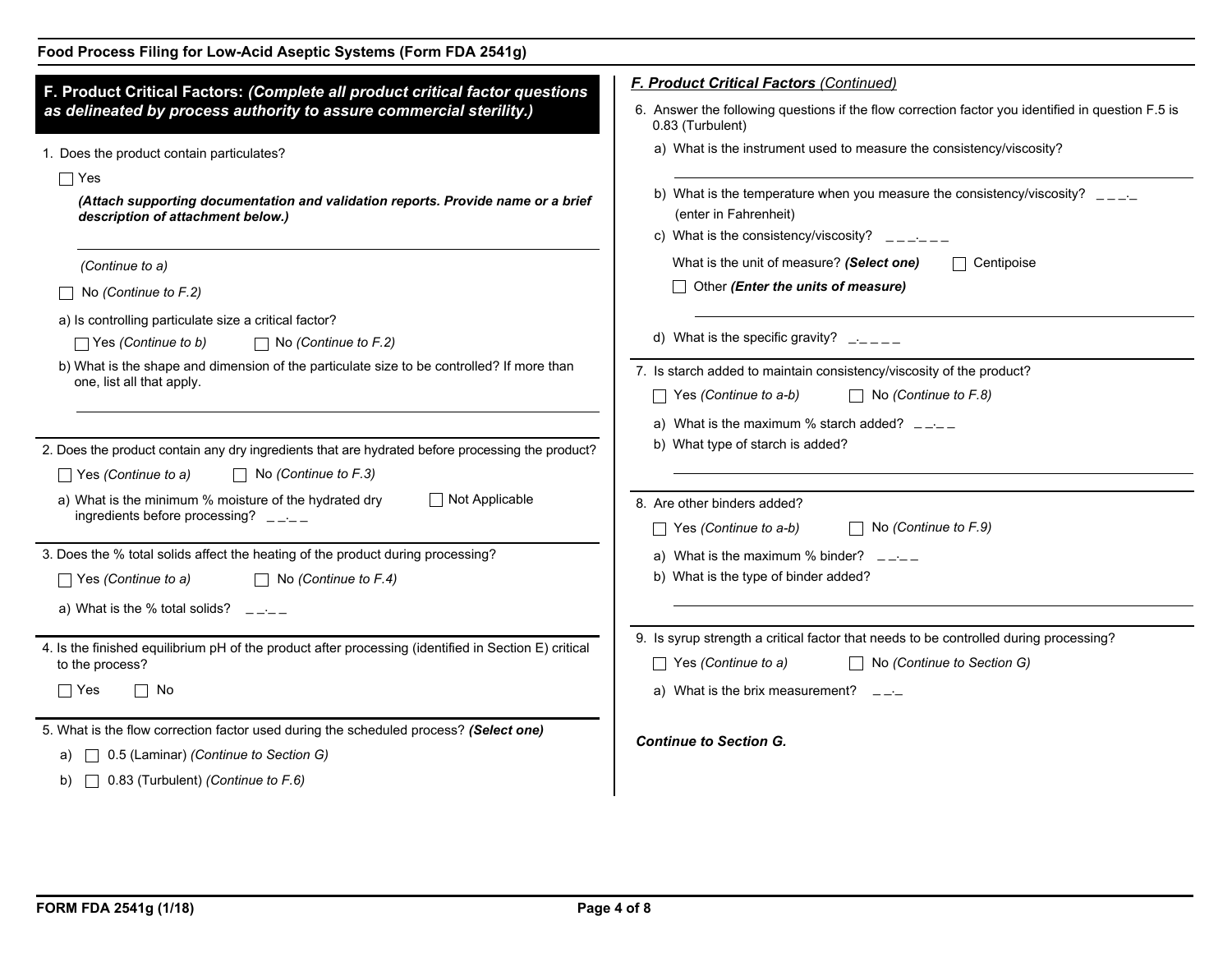| F. Product Critical Factors: (Complete all product critical factor questions                                                                                                                       | <b>F. Product Critical Factors (Continued)</b>                                                                                                                                                         |
|----------------------------------------------------------------------------------------------------------------------------------------------------------------------------------------------------|--------------------------------------------------------------------------------------------------------------------------------------------------------------------------------------------------------|
| as delineated by process authority to assure commercial sterility.)                                                                                                                                | 6. Answer the following questions if the flow correction factor you identified in question F.5 is<br>0.83 (Turbulent)                                                                                  |
| 1. Does the product contain particulates?                                                                                                                                                          | a) What is the instrument used to measure the consistency/viscosity?                                                                                                                                   |
| $\Box$ Yes<br>(Attach supporting documentation and validation reports. Provide name or a brief<br>description of attachment below.)                                                                | b) What is the temperature when you measure the consistency/viscosity? $\Box \Box \Box$<br>(enter in Fahrenheit)                                                                                       |
|                                                                                                                                                                                                    | c) What is the consistency/viscosity? $\quad - \quad - \quad - \quad - \quad$<br>What is the unit of measure? (Select one)<br>$\Box$ Centipoise                                                        |
| (Continue to a)<br>No (Continue to F.2)                                                                                                                                                            | $\Box$ Other (Enter the units of measure)                                                                                                                                                              |
| a) Is controlling particulate size a critical factor?<br>$\Box$ Yes (Continue to b)<br>$\Box$ No (Continue to F.2)                                                                                 | d) What is the specific gravity? $\frac{1}{2}$ $\frac{1}{2}$                                                                                                                                           |
| b) What is the shape and dimension of the particulate size to be controlled? If more than<br>one, list all that apply.                                                                             | 7. Is starch added to maintain consistency/viscosity of the product?<br>$\Box$ No (Continue to F.8)<br>$\top$ Yes (Continue to a-b)                                                                    |
| 2. Does the product contain any dry ingredients that are hydrated before processing the product?                                                                                                   | a) What is the maximum % starch added? $\Box \Box \Box$<br>b) What type of starch is added?                                                                                                            |
| $\Box$ Yes (Continue to a)<br>$\Box$ No (Continue to F.3)                                                                                                                                          |                                                                                                                                                                                                        |
| $\Box$ Not Applicable<br>a) What is the minimum % moisture of the hydrated dry<br>ingredients before processing? $\Box$                                                                            | 8. Are other binders added?<br>$\Box$ No (Continue to F.9)<br>$\Box$ Yes (Continue to a-b)                                                                                                             |
| 3. Does the % total solids affect the heating of the product during processing?<br>$\Box$ Yes (Continue to a)<br>$\Box$ No (Continue to F.4)<br>a) What is the % total solids? $\quad - -$         | a) What is the maximum % binder? $\qquad \qquad \quad \quad \text{and}$<br>b) What is the type of binder added?                                                                                        |
| 4. Is the finished equilibrium pH of the product after processing (identified in Section E) critical<br>to the process?<br>$\Box$ Yes<br>$\Box$ No                                                 | 9. Is syrup strength a critical factor that needs to be controlled during processing?<br>$\Box$ No (Continue to Section G)<br>$\Box$ Yes (Continue to a)<br>a) What is the brix measurement? $\quad -$ |
| 5. What is the flow correction factor used during the scheduled process? (Select one)<br>a) $\Box$ 0.5 (Laminar) (Continue to Section G)<br>$\Box$ 0.83 (Turbulent) <i>(Continue to F.6)</i><br>b) | <b>Continue to Section G.</b>                                                                                                                                                                          |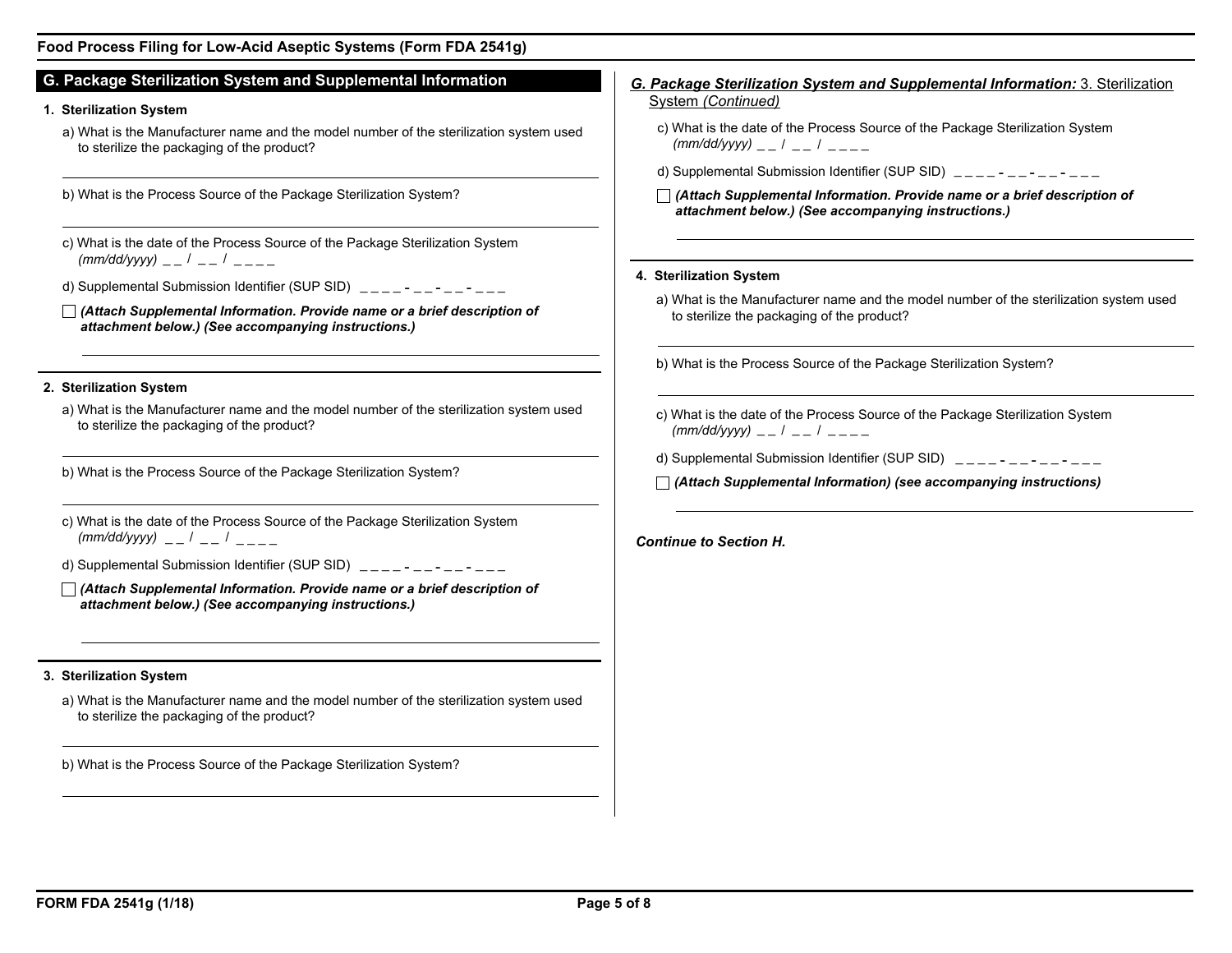## **Food Process Filing for Low-Acid Aseptic Systems (Form FDA 2541g)**

# **G. Package Sterilization System and Supplemental Information**

## **1. Sterilization System**

- a) What is the Manufacturer name and the model number of the sterilization system used to sterilize the packaging of the product?
- b) What is the Process Source of the Package Sterilization System?
- c) What is the date of the Process Source of the Package Sterilization System *(mm/dd/yyyy)* \_ \_ / \_ \_ / \_ \_ \_ \_
- d) Supplemental Submission Identifier (SUP SID)  $\frac{1}{2}$  =  $\frac{1}{2}$  =  $\frac{1}{2}$  =  $\frac{1}{2}$  =  $\frac{1}{2}$  =  $\frac{1}{2}$  =  $\frac{1}{2}$  =  $\frac{1}{2}$  =  $\frac{1}{2}$  =  $\frac{1}{2}$  =  $\frac{1}{2}$  =  $\frac{1}{2}$  =  $\frac{1}{2}$  =  $\frac{1}{2}$  =  $\frac{1$
- *(Attach Supplemental Information. Provide name or a brief description of attachment below.) (See accompanying instructions.)*

## **2. Sterilization System**

- a) What is the Manufacturer name and the model number of the sterilization system used to sterilize the packaging of the product?
- b) What is the Process Source of the Package Sterilization System?
- c) What is the date of the Process Source of the Package Sterilization System *(mm/dd/yyyy)* \_ \_ / \_ \_ / \_ \_ \_ \_
- d) Supplemental Submission Identifier (SUP SID)  $\frac{1}{2}$  =  $\frac{1}{2}$  =  $\frac{1}{2}$  =  $\frac{1}{2}$  =  $\frac{1}{2}$  =  $\frac{1}{2}$
- *(Attach Supplemental Information. Provide name or a brief description of attachment below.) (See accompanying instructions.)*

## **3. Sterilization System**

a) What is the Manufacturer name and the model number of the sterilization system used to sterilize the packaging of the product?

b) What is the Process Source of the Package Sterilization System?

# *G. Package Sterilization System and Supplemental Information:* 3. Sterilization System *(Continued)*

- c) What is the date of the Process Source of the Package Sterilization System *(mm/dd/yyyy)* \_ \_ / \_ \_ / \_ \_ \_ \_
- d) Supplemental Submission Identifier (SUP SID)  $\frac{1}{2}$  =  $\frac{1}{2}$  =  $\frac{1}{2}$  =  $\frac{1}{2}$  =  $\frac{1}{2}$  =  $\frac{1}{2}$
- *(Attach Supplemental Information. Provide name or a brief description of attachment below.) (See accompanying instructions.)*

#### **4. Sterilization System**

- a) What is the Manufacturer name and the model number of the sterilization system used to sterilize the packaging of the product?
- b) What is the Process Source of the Package Sterilization System?
- c) What is the date of the Process Source of the Package Sterilization System *(mm/dd/yyyy)* \_ \_ / \_ \_ / \_ \_ \_ \_
- d) Supplemental Submission Identifier (SUP SID)  $\frac{1}{2}$  =  $\frac{1}{2}$  =  $\frac{1}{2}$  =  $\frac{1}{2}$  =  $\frac{1}{2}$  =  $\frac{1}{2}$
- *(Attach Supplemental Information) (see accompanying instructions)*

*Continue to Section H.*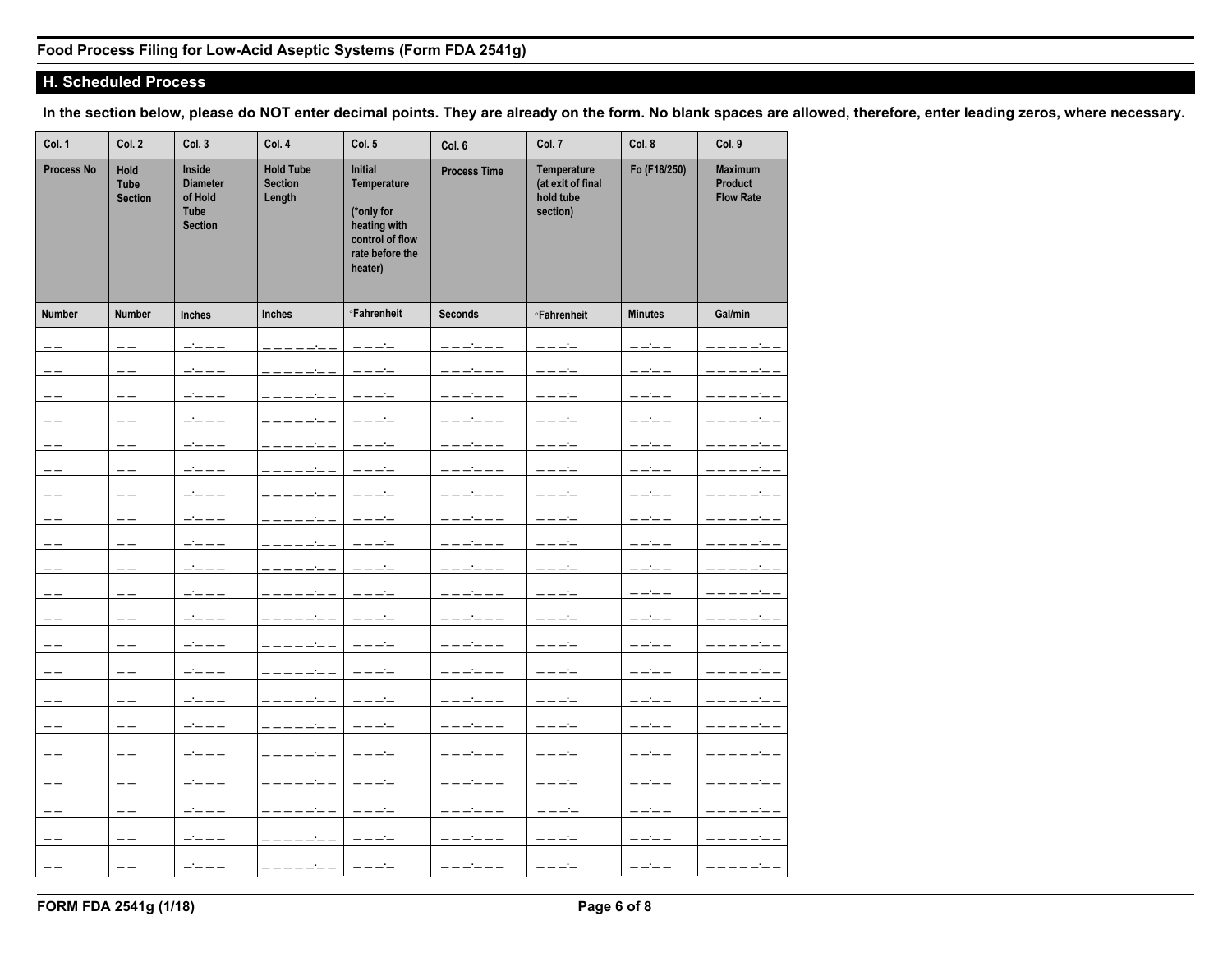# **H. Scheduled Process**

**In the section below, please do NOT enter decimal points. They are already on the form. No blank spaces are allowed, therefore, enter leading zeros, where necessary.**

| Col. 1            | Col. 2                                | Col. 3                                                                | Col. 4                                       | Col. 5                                                                                                | Col. 6              | Col. 7                                                    | Col. 8         | Col. 9                                               |
|-------------------|---------------------------------------|-----------------------------------------------------------------------|----------------------------------------------|-------------------------------------------------------------------------------------------------------|---------------------|-----------------------------------------------------------|----------------|------------------------------------------------------|
| <b>Process No</b> | Hold<br><b>Tube</b><br><b>Section</b> | Inside<br><b>Diameter</b><br>of Hold<br><b>Tube</b><br><b>Section</b> | <b>Hold Tube</b><br><b>Section</b><br>Length | Initial<br>Temperature<br>(*only for<br>heating with<br>control of flow<br>rate before the<br>heater) | <b>Process Time</b> | Temperature<br>(at exit of final<br>hold tube<br>section) | Fo (F18/250)   | <b>Maximum</b><br><b>Product</b><br><b>Flow Rate</b> |
| <b>Number</b>     | <b>Number</b>                         | <b>Inches</b>                                                         | <b>Inches</b>                                | <b><sup>o</sup>Fahrenheit</b>                                                                         | <b>Seconds</b>      | <b><i><u>•Fahrenheit</u></i></b>                          | <b>Minutes</b> | Gal/min                                              |
| $- -$             | $- -$                                 | $   -$                                                                |                                              | ————                                                                                                  | ------              | ————                                                      | ----           |                                                      |
| $- -$             | ——                                    | ----                                                                  |                                              |                                                                                                       |                     | ————                                                      | ————           |                                                      |
| $=$               | $- -$                                 |                                                                       |                                              |                                                                                                       |                     | $--- -$                                                   | ----           |                                                      |
| --                | --                                    |                                                                       |                                              |                                                                                                       |                     |                                                           |                |                                                      |
| ——                | $- -$                                 | ----                                                                  |                                              |                                                                                                       |                     | ————                                                      | ————           |                                                      |
| ——                | --                                    |                                                                       |                                              |                                                                                                       |                     | ----                                                      | ----           |                                                      |
| $- -$             | --                                    |                                                                       |                                              |                                                                                                       |                     |                                                           |                |                                                      |
| ——                | --                                    | $   -$                                                                |                                              |                                                                                                       |                     | ----                                                      | -----          |                                                      |
| $- -$             | --                                    |                                                                       |                                              |                                                                                                       | ------              | ----                                                      | ----           |                                                      |
| --                | --                                    |                                                                       |                                              |                                                                                                       |                     | ————                                                      | ————           |                                                      |
| $- -$             | $- -$                                 | $   -$                                                                |                                              | ----                                                                                                  | ------              | $----$                                                    | ----           | $-----$                                              |
| $- -$             | --                                    | $  -$                                                                 |                                              |                                                                                                       | ------              | $-----$                                                   | $-----$        |                                                      |
| $- -$             | $- -$                                 | $- - - - -$                                                           |                                              | $-----$                                                                                               | $- - - - - -$       | $-----$                                                   | $------$       | -------                                              |
| $- -$             | $- -$                                 | $   -$                                                                |                                              | $-----$                                                                                               | ------              | $-----$                                                   | $- - - -$      | -------                                              |
| $ -$              | $ -$                                  | $   -$                                                                |                                              | $--- -$                                                                                               | ------              | $-----$                                                   | $----$         | ------                                               |
| ——                | $ -$                                  | $- \, - \, - \, -$                                                    | $-----$                                      | $-----$                                                                                               | $- - - - - -$       | $-----$                                                   | $- - - -$      | -------                                              |
|                   |                                       |                                                                       |                                              |                                                                                                       |                     |                                                           |                |                                                      |
| --                | $- -$                                 | $   -$                                                                |                                              | $-----$                                                                                               | ------              | $-----$                                                   | $--- - -$      | ————                                                 |
| $- -$             | $\qquad -$                            | $- \, - \, - \, -$                                                    | -------                                      | $-----$                                                                                               | $- - - - - - -$     | $\qquad \qquad - - -$                                     | $- - - - -$    | -------                                              |
| $-$               | $-$                                   | $  -$                                                                 |                                              | $---$                                                                                                 | ------              | $---$                                                     | $- - - -$      | $      -$                                            |
| $ -$              | $- -$                                 | $   -$                                                                | -----                                        | $-----$                                                                                               | ------              | $--- - -$                                                 | $--- - -$      |                                                      |
| $ -$              | $-$                                   | $   -$                                                                | $\frac{1}{2}$                                | $- - - -$                                                                                             | ------              | ----                                                      | $- - - -$      |                                                      |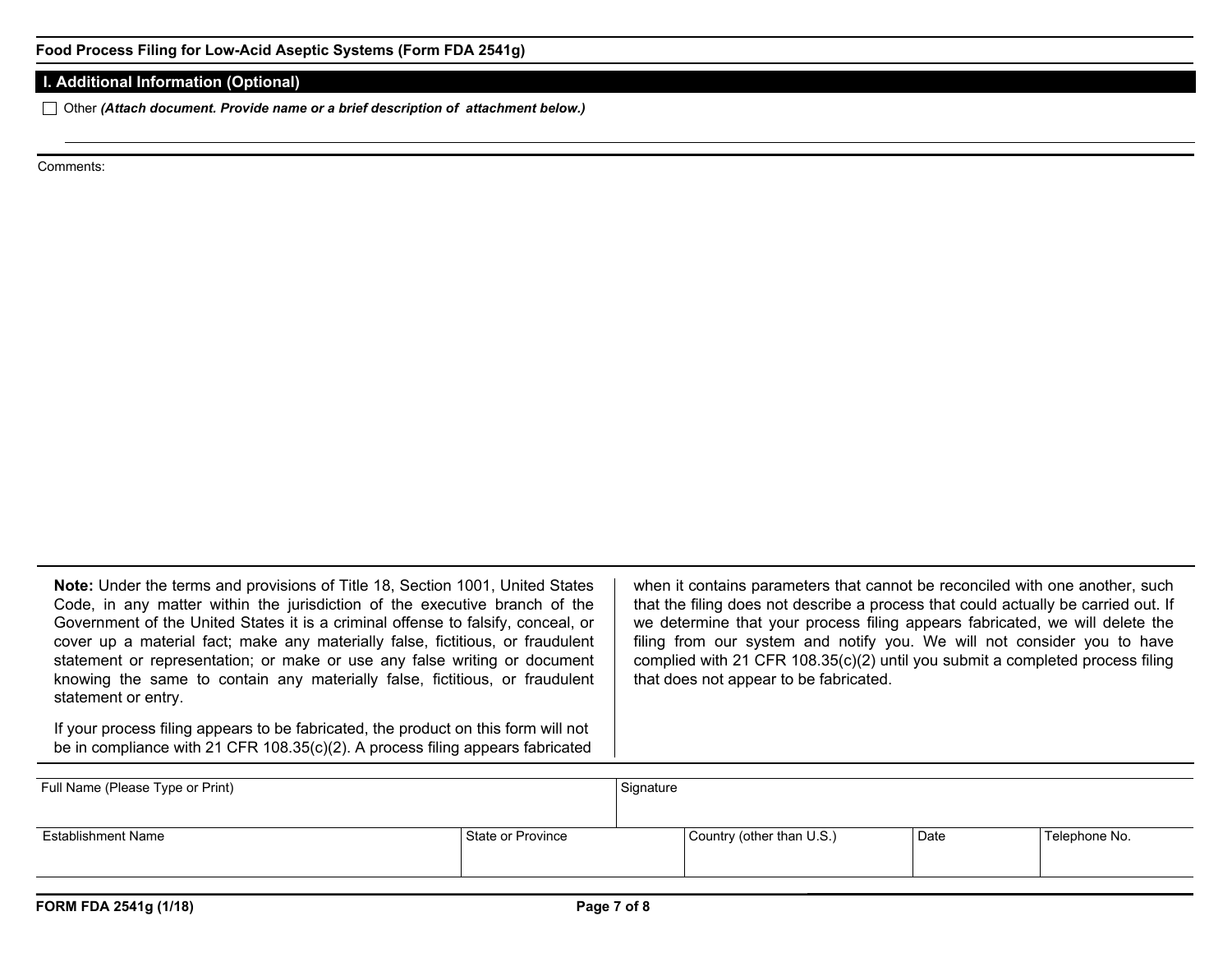## **I. Additional Information (Optional)**

Other *(Attach document. Provide name or a brief description of attachment below.)*

Comments:

**Note:** Under the terms and provisions of Title 18, Section 1001, United States Code, in any matter within the jurisdiction of the executive branch of the Government of the United States it is a criminal offense to falsify, conceal, or cover up a material fact; make any materially false, fictitious, or fraudulent statement or representation; or make or use any false writing or document knowing the same to contain any materially false, fictitious, or fraudulent statement or entry.

If your process filing appears to be fabricated, the product on this form will not be in compliance with 21 CFR 108.35(c)(2). A process filing appears fabricated when it contains parameters that cannot be reconciled with one another, such that the filing does not describe a process that could actually be carried out. If we determine that your process filing appears fabricated, we will delete the filing from our system and notify you. We will not consider you to have complied with 21 CFR 108.35(c)(2) until you submit a completed process filing that does not appear to be fabricated.

| Full Name (Please Type or Print) |                   | Signature |                           |      |               |  |
|----------------------------------|-------------------|-----------|---------------------------|------|---------------|--|
| <b>Establishment Name</b>        | State or Province |           | Country (other than U.S.) | Date | Telephone No. |  |